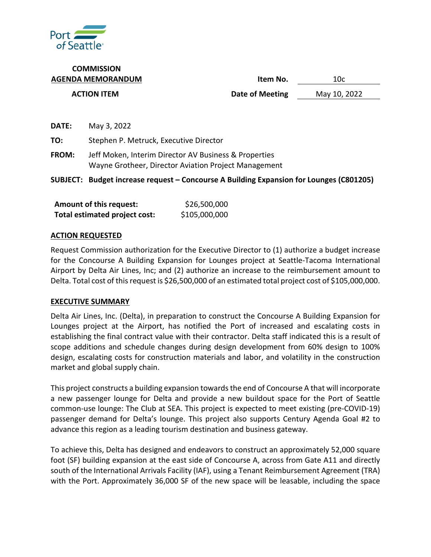

**COMMISSION AGENDA MEMORANDUM Item No.** 10c **ACTION ITEM Date of Meeting** May 10, 2022

**DATE:** May 3, 2022 **TO:** Stephen P. Metruck, Executive Director **FROM:** Jeff Moken, Interim Director AV Business & Properties Wayne Grotheer, Director Aviation Project Management **SUBJECT: Budget increase request – Concourse A Building Expansion for Lounges (C801205)**

| <b>Amount of this request:</b> | \$26,500,000  |
|--------------------------------|---------------|
| Total estimated project cost:  | \$105,000,000 |

### **ACTION REQUESTED**

Request Commission authorization for the Executive Director to (1) authorize a budget increase for the Concourse A Building Expansion for Lounges project at Seattle-Tacoma International Airport by Delta Air Lines, Inc; and (2) authorize an increase to the reimbursement amount to Delta. Total cost of this request is \$26,500,000 of an estimated total project cost of \$105,000,000.

### **EXECUTIVE SUMMARY**

Delta Air Lines, Inc. (Delta), in preparation to construct the Concourse A Building Expansion for Lounges project at the Airport, has notified the Port of increased and escalating costs in establishing the final contract value with their contractor. Delta staff indicated this is a result of scope additions and schedule changes during design development from 60% design to 100% design, escalating costs for construction materials and labor, and volatility in the construction market and global supply chain.

This project constructs a building expansion towards the end of Concourse A that will incorporate a new passenger lounge for Delta and provide a new buildout space for the Port of Seattle common-use lounge: The Club at SEA. This project is expected to meet existing (pre-COVID-19) passenger demand for Delta's lounge. This project also supports Century Agenda Goal #2 to advance this region as a leading tourism destination and business gateway.

To achieve this, Delta has designed and endeavors to construct an approximately 52,000 square foot (SF) building expansion at the east side of Concourse A, across from Gate A11 and directly south of the International Arrivals Facility (IAF), using a Tenant Reimbursement Agreement (TRA) with the Port. Approximately 36,000 SF of the new space will be leasable, including the space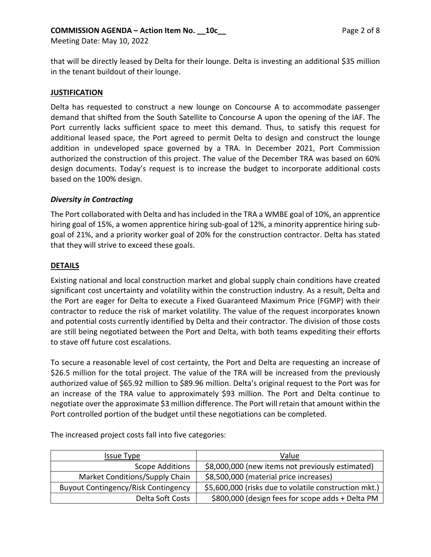that will be directly leased by Delta for their lounge. Delta is investing an additional \$35 million in the tenant buildout of their lounge.

# **JUSTIFICATION**

Delta has requested to construct a new lounge on Concourse A to accommodate passenger demand that shifted from the South Satellite to Concourse A upon the opening of the IAF. The Port currently lacks sufficient space to meet this demand. Thus, to satisfy this request for additional leased space, the Port agreed to permit Delta to design and construct the lounge addition in undeveloped space governed by a TRA. In December 2021, Port Commission authorized the construction of this project. The value of the December TRA was based on 60% design documents. Today's request is to increase the budget to incorporate additional costs based on the 100% design.

### *Diversity in Contracting*

The Port collaborated with Delta and has included in the TRA a WMBE goal of 10%, an apprentice hiring goal of 15%, a women apprentice hiring sub-goal of 12%, a minority apprentice hiring subgoal of 21%, and a priority worker goal of 20% for the construction contractor. Delta has stated that they will strive to exceed these goals.

### **DETAILS**

Existing national and local construction market and global supply chain conditions have created significant cost uncertainty and volatility within the construction industry. As a result, Delta and the Port are eager for Delta to execute a Fixed Guaranteed Maximum Price (FGMP) with their contractor to reduce the risk of market volatility. The value of the request incorporates known and potential costs currently identified by Delta and their contractor. The division of those costs are still being negotiated between the Port and Delta, with both teams expediting their efforts to stave off future cost escalations.

To secure a reasonable level of cost certainty, the Port and Delta are requesting an increase of \$26.5 million for the total project. The value of the TRA will be increased from the previously authorized value of \$65.92 million to \$89.96 million. Delta's original request to the Port was for an increase of the TRA value to approximately \$93 million. The Port and Delta continue to negotiate over the approximate \$3 million difference. The Port will retain that amount within the Port controlled portion of the budget until these negotiations can be completed.

| Issue Type                                 | Value                                                 |
|--------------------------------------------|-------------------------------------------------------|
| Scope Additions                            | \$8,000,000 (new items not previously estimated)      |
| Market Conditions/Supply Chain             | \$8,500,000 (material price increases)                |
| <b>Buyout Contingency/Risk Contingency</b> | \$5,600,000 (risks due to volatile construction mkt.) |
| Delta Soft Costs                           | \$800,000 (design fees for scope adds + Delta PM      |

The increased project costs fall into five categories: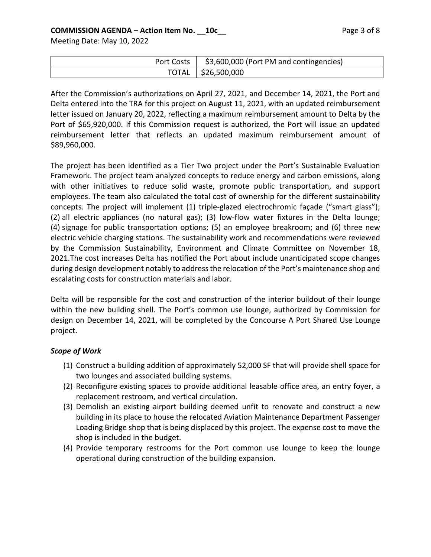| Port Costs   \$3,600,000 (Port PM and contingencies) |
|------------------------------------------------------|
| TOTAL   \$26,500,000                                 |

After the Commission's authorizations on April 27, 2021, and December 14, 2021, the Port and Delta entered into the TRA for this project on August 11, 2021, with an updated reimbursement letter issued on January 20, 2022, reflecting a maximum reimbursement amount to Delta by the Port of \$65,920,000. If this Commission request is authorized, the Port will issue an updated reimbursement letter that reflects an updated maximum reimbursement amount of \$89,960,000.

The project has been identified as a Tier Two project under the Port's Sustainable Evaluation Framework. The project team analyzed concepts to reduce energy and carbon emissions, along with other initiatives to reduce solid waste, promote public transportation, and support employees. The team also calculated the total cost of ownership for the different sustainability concepts. The project will implement (1) triple-glazed electrochromic façade ("smart glass"); (2) all electric appliances (no natural gas); (3) low-flow water fixtures in the Delta lounge; (4) signage for public transportation options; (5) an employee breakroom; and (6) three new electric vehicle charging stations. The sustainability work and recommendations were reviewed by the Commission Sustainability, Environment and Climate Committee on November 18, 2021.The cost increases Delta has notified the Port about include unanticipated scope changes during design development notably to address the relocation of the Port's maintenance shop and escalating costs for construction materials and labor.

Delta will be responsible for the cost and construction of the interior buildout of their lounge within the new building shell. The Port's common use lounge, authorized by Commission for design on December 14, 2021, will be completed by the Concourse A Port Shared Use Lounge project.

# *Scope of Work*

- (1) Construct a building addition of approximately 52,000 SF that will provide shell space for two lounges and associated building systems.
- (2) Reconfigure existing spaces to provide additional leasable office area, an entry foyer, a replacement restroom, and vertical circulation.
- (3) Demolish an existing airport building deemed unfit to renovate and construct a new building in its place to house the relocated Aviation Maintenance Department Passenger Loading Bridge shop that is being displaced by this project. The expense cost to move the shop is included in the budget.
- (4) Provide temporary restrooms for the Port common use lounge to keep the lounge operational during construction of the building expansion.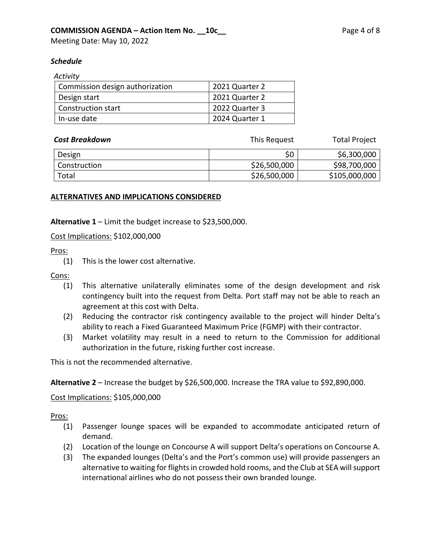# *Schedule*

| Activity                        |                |
|---------------------------------|----------------|
| Commission design authorization | 2021 Quarter 2 |
| Design start                    | 2021 Quarter 2 |
| <b>Construction start</b>       | 2022 Quarter 3 |
| In-use date                     | 2024 Quarter 1 |

| <b>Cost Breakdown</b> | This Request | <b>Total Project</b> |
|-----------------------|--------------|----------------------|
| Design                | \$0          | \$6,300,000          |
| Construction          | \$26,500,000 | \$98,700,000         |
| Total                 | \$26,500,000 | \$105,000,000        |

### **ALTERNATIVES AND IMPLICATIONS CONSIDERED**

**Alternative 1** – Limit the budget increase to \$23,500,000.

Cost Implications: \$102,000,000

### Pros:

(1) This is the lower cost alternative.

#### Cons:

- (1) This alternative unilaterally eliminates some of the design development and risk contingency built into the request from Delta. Port staff may not be able to reach an agreement at this cost with Delta.
- (2) Reducing the contractor risk contingency available to the project will hinder Delta's ability to reach a Fixed Guaranteed Maximum Price (FGMP) with their contractor.
- (3) Market volatility may result in a need to return to the Commission for additional authorization in the future, risking further cost increase.

This is not the recommended alternative.

**Alternative 2** – Increase the budget by \$26,500,000. Increase the TRA value to \$92,890,000.

### Cost Implications: \$105,000,000

### Pros:

- (1) Passenger lounge spaces will be expanded to accommodate anticipated return of demand.
- (2) Location of the lounge on Concourse A will support Delta's operations on Concourse A.
- (3) The expanded lounges (Delta's and the Port's common use) will provide passengers an alternative to waiting for flights in crowded hold rooms, and the Club at SEA will support international airlines who do not possess their own branded lounge.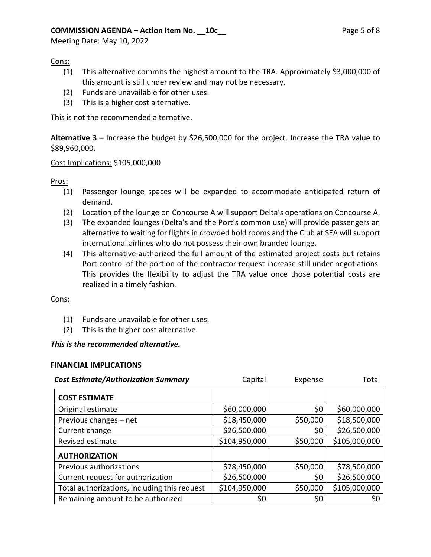# **COMMISSION AGENDA – Action Item No. 10c\_\_ Page 5 of 8**

Meeting Date: May 10, 2022

### Cons:

- (1) This alternative commits the highest amount to the TRA. Approximately \$3,000,000 of this amount is still under review and may not be necessary.
- (2) Funds are unavailable for other uses.
- (3) This is a higher cost alternative.

This is not the recommended alternative.

**Alternative 3** – Increase the budget by \$26,500,000 for the project. Increase the TRA value to \$89,960,000.

### Cost Implications: \$105,000,000

### Pros:

- (1) Passenger lounge spaces will be expanded to accommodate anticipated return of demand.
- (2) Location of the lounge on Concourse A will support Delta's operations on Concourse A.
- (3) The expanded lounges (Delta's and the Port's common use) will provide passengers an alternative to waiting for flights in crowded hold rooms and the Club at SEA will support international airlines who do not possess their own branded lounge.
- (4) This alternative authorized the full amount of the estimated project costs but retains Port control of the portion of the contractor request increase still under negotiations. This provides the flexibility to adjust the TRA value once those potential costs are realized in a timely fashion.

### Cons:

- (1) Funds are unavailable for other uses.
- (2) This is the higher cost alternative.

### *This is the recommended alternative.*

### **FINANCIAL IMPLICATIONS**

| <b>Cost Estimate/Authorization Summary</b>   | Capital       | Expense  | Total         |
|----------------------------------------------|---------------|----------|---------------|
| <b>COST ESTIMATE</b>                         |               |          |               |
| Original estimate                            | \$60,000,000  | \$0      | \$60,000,000  |
| Previous changes - net                       | \$18,450,000  | \$50,000 | \$18,500,000  |
| Current change                               | \$26,500,000  | \$0      | \$26,500,000  |
| Revised estimate                             | \$104,950,000 | \$50,000 | \$105,000,000 |
| <b>AUTHORIZATION</b>                         |               |          |               |
| Previous authorizations                      | \$78,450,000  | \$50,000 | \$78,500,000  |
| Current request for authorization            | \$26,500,000  | \$0      | \$26,500,000  |
| Total authorizations, including this request | \$104,950,000 | \$50,000 | \$105,000,000 |
| Remaining amount to be authorized            | \$0           | \$0      | \$0           |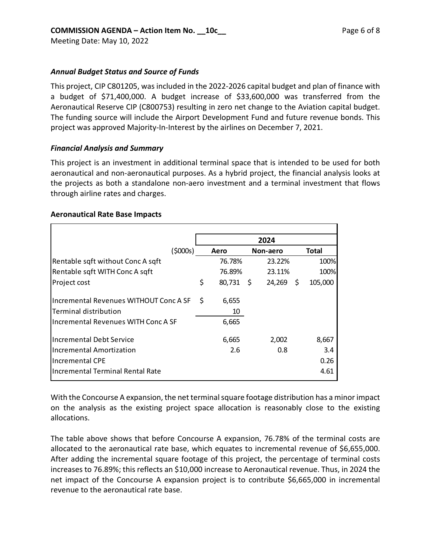# *Annual Budget Status and Source of Funds*

This project, CIP C801205, was included in the 2022-2026 capital budget and plan of finance with a budget of \$71,400,000. A budget increase of \$33,600,000 was transferred from the Aeronautical Reserve CIP (C800753) resulting in zero net change to the Aviation capital budget. The funding source will include the Airport Development Fund and future revenue bonds. This project was approved Majority-In-Interest by the airlines on December 7, 2021.

### *Financial Analysis and Summary*

This project is an investment in additional terminal space that is intended to be used for both aeronautical and non-aeronautical purposes. As a hybrid project, the financial analysis looks at the projects as both a standalone non-aero investment and a terminal investment that flows through airline rates and charges.

### **Aeronautical Rate Base Impacts**

|                                        |                 | 2024        |         |
|----------------------------------------|-----------------|-------------|---------|
| (\$000s)                               | Aero            | Non-aero    | Total   |
| Rentable sqft without Conc A sqft      | 76.78%          | 23.22%      | 100%    |
| Rentable sqft WITH Conc A sqft         | 76.89%          | 23.11%      | 100%    |
| Project cost                           | \$<br>80,731 \$ | $24,269$ \$ | 105,000 |
| Incremental Revenues WITHOUT Conc A SF | \$<br>6,655     |             |         |
| Terminal distribution                  | 10              |             |         |
| Incremental Revenues WITH Conc A SF    | 6,665           |             |         |
| Incremental Debt Service               | 6,665           | 2,002       | 8,667   |
| Incremental Amortization               | 2.6             | 0.8         | 3.4     |
| Incremental CPE                        |                 |             | 0.26    |
| Incremental Terminal Rental Rate       |                 |             | 4.61    |

With the Concourse A expansion, the net terminal square footage distribution has a minor impact on the analysis as the existing project space allocation is reasonably close to the existing allocations.

The table above shows that before Concourse A expansion, 76.78% of the terminal costs are allocated to the aeronautical rate base, which equates to incremental revenue of \$6,655,000. After adding the incremental square footage of this project, the percentage of terminal costs increases to 76.89%; this reflects an \$10,000 increase to Aeronautical revenue. Thus, in 2024 the net impact of the Concourse A expansion project is to contribute \$6,665,000 in incremental revenue to the aeronautical rate base.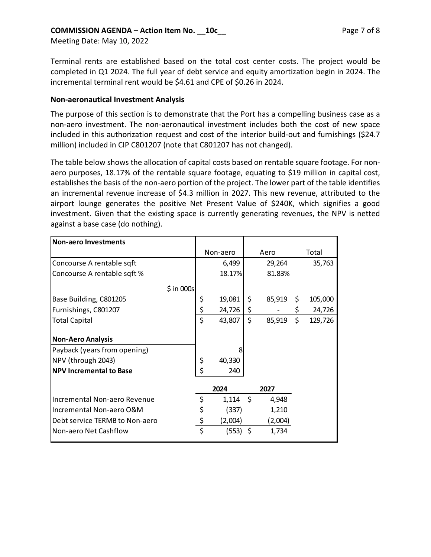# **COMMISSION AGENDA – Action Item No. \_\_10c\_\_ Page 7 of 8**

Meeting Date: May 10, 2022

Terminal rents are established based on the total cost center costs. The project would be completed in Q1 2024. The full year of debt service and equity amortization begin in 2024. The incremental terminal rent would be \$4.61 and CPE of \$0.26 in 2024.

#### **Non-aeronautical Investment Analysis**

The purpose of this section is to demonstrate that the Port has a compelling business case as a non-aero investment. The non-aeronautical investment includes both the cost of new space included in this authorization request and cost of the interior build-out and furnishings (\$24.7 million) included in CIP C801207 (note that C801207 has not changed).

The table below shows the allocation of capital costs based on rentable square footage. For nonaero purposes, 18.17% of the rentable square footage, equating to \$19 million in capital cost, establishes the basis of the non-aero portion of the project. The lower part of the table identifies an incremental revenue increase of \$4.3 million in 2027. This new revenue, attributed to the airport lounge generates the positive Net Present Value of \$240K, which signifies a good investment. Given that the existing space is currently generating revenues, the NPV is netted against a base case (do nothing).

| <b>Non-aero Investments</b>    |                  |              |               |
|--------------------------------|------------------|--------------|---------------|
|                                | Non-aero         | Aero         | Total         |
| Concourse A rentable sqft      | 6,499            | 29,264       | 35,763        |
| Concourse A rentable sqft %    | 18.17%           | 81.83%       |               |
| $$$ in 000s                    |                  |              |               |
| Base Building, C801205         | \$<br>19,081     | \$<br>85,919 | \$<br>105,000 |
| Furnishings, C801207           | \$<br>24,726     | \$           | \$<br>24,726  |
| <b>Total Capital</b>           | \$<br>43,807     | \$<br>85,919 | \$<br>129,726 |
| <b>Non-Aero Analysis</b>       |                  |              |               |
| Payback (years from opening)   | 8                |              |               |
| NPV (through 2043)             | \$<br>40,330     |              |               |
| <b>NPV Incremental to Base</b> | \$<br>240        |              |               |
|                                | 2024             | 2027         |               |
| Incremental Non-aero Revenue   | \$<br>$1,114$ \$ | 4,948        |               |
| Incremental Non-aero O&M       | \$<br>(337)      | 1,210        |               |
| Debt service TERMB to Non-aero | \$<br>(2,004)    | (2,004)      |               |
| Non-aero Net Cashflow          | \$<br>(553) \$   | 1,734        |               |